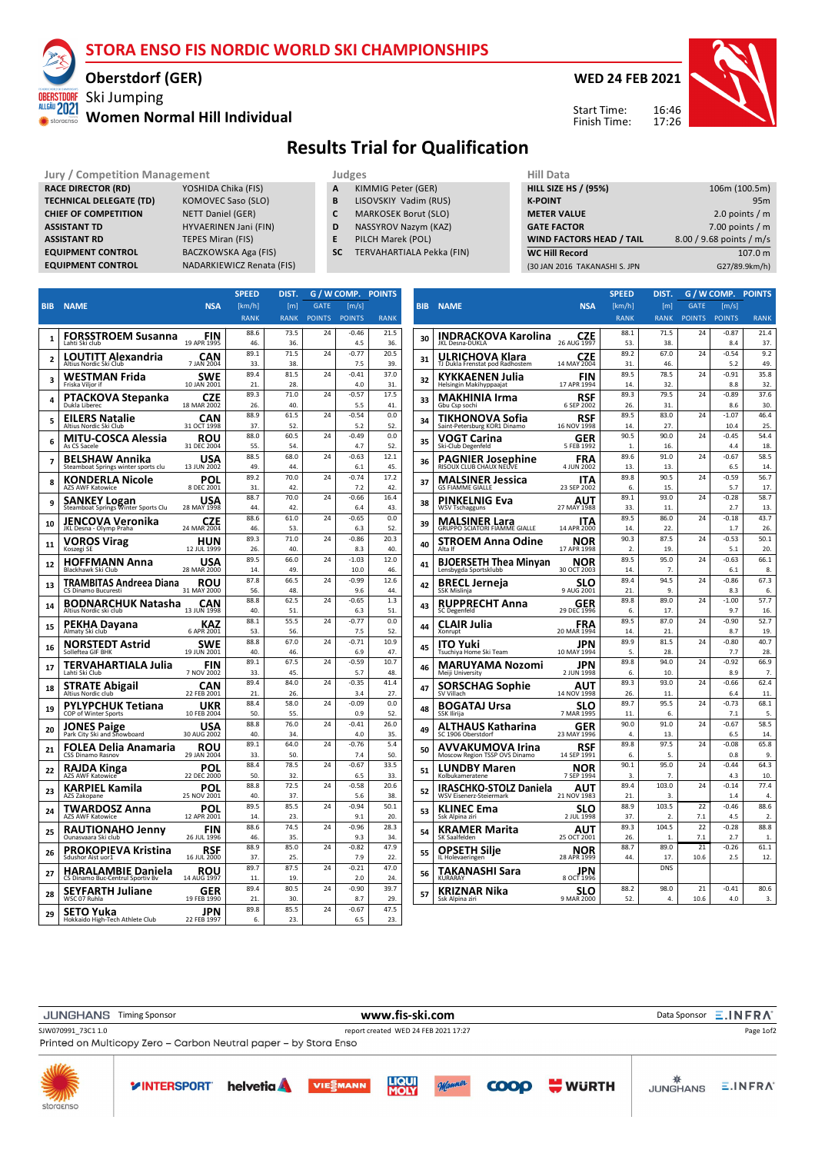#### **STORA ENSO FIS NORDIC WORLD SKI CHAMPIONSHIPS**

#### **Oberstdorf (GER)**

### Ski Jumping **Women Normal Hill Individual**

**WED 24 FEB 2021**

16:46 17:26 Start Time: Finish Time:



## **Results Trial for Qualification**

**Jury / Competition Management All Databally Competition Management Hill Dat** 

| <b>RACE DIRECTOR (RD)</b>      |
|--------------------------------|
| <b>TECHNICAL DELEGATE (TD)</b> |
| <b>CHIEF OF COMPETITION</b>    |
| <b>ASSISTANT TD</b>            |
| <b>ASSISTANT RD</b>            |
| <b>EQUIPMENT CONTROL</b>       |
| <b>EQUIPMENT CONTROL</b>       |

ALLGÄU 2021 storae

> **RACE DIRECTOR (RD)** YOSHIDA Chika (FIS) **TECHNICAL DELA**<br> **TECHNICAL DELA NETT Daniel (GER) HYVAERINEN Jani (FIN) TEPES Miran (FIS) BACZKOWSKA Aga (FIS) NADARKIEWICZ Renata (FIS)**

- 
- **A** KIMMIG Peter (GER)<br>**B** LISOVSKIY Vadim (RI **B** LISOVSKIY Vadim (RUS)
- **C** MARKOSEK Borut (SLO)
- **D** NASSYROV Nazym (KAZ)
- **E** PILCH Marek (POL)
- **SC** TERVAHARTIALA Pekka (FIN)

| нііі рата                       |                          |
|---------------------------------|--------------------------|
| <b>HILL SIZE HS / (95%)</b>     | 106m (100.5m)            |
| <b>K-POINT</b>                  | 95 <sub>m</sub>          |
| <b>METER VALUE</b>              | 2.0 points $/m$          |
| <b>GATE FACTOR</b>              | 7.00 points $/m$         |
| <b>WIND FACTORS HEAD / TAIL</b> | 8.00 / 9.68 points / m/s |
| <b>WC Hill Record</b>           | 107.0 m                  |
| (30 JAN 2016 TAKANASHI S. JPN   | G27/89.9km/h)            |

|                          |                                                            |                           | <b>SPEED</b> | DIST.            | G /           | W COMP.        | <b>POINTS</b> |
|--------------------------|------------------------------------------------------------|---------------------------|--------------|------------------|---------------|----------------|---------------|
| <b>BIB</b>               | <b>NAME</b>                                                | <b>NSA</b>                | [km/h]       | [ <sub>m</sub> ] | <b>GATE</b>   | [m/s]          |               |
|                          |                                                            |                           | <b>RANK</b>  | <b>RANK</b>      | <b>POINTS</b> | <b>POINTS</b>  | <b>RANK</b>   |
|                          |                                                            |                           | 88.6         | 73.5             | 24            | $-0.46$        | 21.5          |
| 1                        | <b>FORSSTROEM Susanna</b><br>Lahti Ski club                | FIN<br>19 APR 1995        | 46           | 36.              |               | 4.5            | 36            |
| $\overline{\phantom{a}}$ | <b>LOUTITT Alexandria</b>                                  | CAN                       | 89.1         | 71.5             | 24            | $-0.77$        | 20.5          |
|                          | Altius Nordic Ski Club                                     | 7 JAN 2004                | 33           | 38.              |               | 7.5            | 39            |
| 3                        | WESTMAN Frida                                              | <b>SWE</b>                | 894          | 81.5             | 24            | $-0.41$        | 37.0          |
|                          | Friska Viljor if                                           | 10 JAN 2001               | 21.          | 28.              |               | 4.0            | 31.           |
| 4                        | PTACKOVA Stepanka                                          | <b>CZE</b>                | 89.3         | 71.0             | 24            | $-0.57$        | 17.5          |
|                          | Dukla Liberec                                              | 18 MAR 2002               | 26.<br>88.9  | 40.<br>61.5      | 24            | 5.5<br>$-0.54$ | 41<br>0.0     |
| 5                        | <b>EILERS Natalie</b><br>Altius Nordic Ski Club            | <b>CAN</b><br>31 OCT 1998 | 37.          | 52               |               | 5.2            | 52            |
|                          | MITU-COSCA Alessia                                         | ROU                       | 88.0         | 60.5             | 24            | $-0.49$        | 0.0           |
| 6                        | As CS Sacele                                               | 31 DEC 2004               | 55.          | 54.              |               | 4.7            | 52            |
| 7                        | BELSHAW Annika                                             | USA                       | 88.5         | 68.0             | 24            | $-0.63$        | 12.1          |
|                          | Steamboat Springs winter sports clu                        | 13 JUN 2002               | 49.          | 44               |               | 6.1            | 45            |
| 8                        | KONDERLA Nicole                                            | POL                       | 89.2         | 70.0             | 24            | $-0.74$        | 17.2          |
|                          | AZS AWF Katowice                                           | 8 DEC 2001                | 31.          | 42.              |               | 7.2            | 42.           |
| 9                        | <b>SANKEY Logan</b><br>Steamboat Springs Winter Sports Clu | USA<br>28 MAY 1998        | 88.7<br>44   | 70.0<br>42       | 24            | $-0.66$<br>6.4 | 16.4<br>43    |
|                          |                                                            |                           | 88.6         | 61.0             | 24            | $-0.65$        | 0.0           |
| 10                       | JENCOVA Veronika<br>JKL Desna - Olymp Praha                | CZE<br>24 MAR 2004        | 46           | 53.              |               | 6.3            | 52.           |
|                          | <b>VOROS Virag</b>                                         | HUN                       | 89.3         | 71.0             | 24            | $-0.86$        | 20.3          |
| 11                       | Koszegi SE                                                 | 12 JUL 1999               | 26.          | 40               |               | 8.3            | 40            |
| 12                       | HOFFMANN Anna                                              | USA                       | 89.5         | 66.0             | 24            | $-1.03$        | 12.0          |
|                          | Blackhawk Ski Club                                         | 28 MAR 2000               | 14.          | 49               |               | 10.0           | 46            |
| 13                       | TRAMBITAS Andreea Diana                                    | <b>ROU</b>                | 87.8         | 66.5             | 24            | $-0.99$        | 12.6          |
|                          | CS Dinamo Bucuresti                                        | 31 MAY 2000               | 56.<br>88.8  | 48.<br>62.5      | 24            | 9.6<br>$-0.65$ | 44<br>1.3     |
| 14                       | <b>BODNARCHUK Natasha</b><br>Altius Nordic ski club        | CAN<br>13 JUN 1998        | 40.          | 51.              |               | 6.3            | 51            |
|                          |                                                            | <b>KAZ</b>                | 88.1         | 55.5             | 24            | $-0.77$        | 0.0           |
| 15                       | PEKHA Dayana<br>Almaty Ski club                            | 6 APR 2001                | 53.          | 56.              |               | 7.5            | 52            |
| 16                       | NORSTEDT Astrid                                            | <b>SWE</b>                | 88.8         | 67.0             | 24            | $-0.71$        | 10.9          |
|                          | Solleftea GIF BHK                                          | 19 JUN 2001               | 40           | 46.              |               | 69             | 47            |
| 17                       | TERVAHARTIALA Julia                                        | FIN                       | 89.1         | 67.5             | 24            | $-0.59$        | 10.7          |
|                          | Lahti Ski Club                                             | 7 NOV 2002                | 33.          | 45.              | 24            | 5.7            | 48            |
| 18                       | STRATE Abigail<br>Altius Nordic club                       | <b>CAN</b><br>22 FEB 2001 | 89.4<br>21.  | 84.0<br>26.      |               | $-0.35$<br>3.4 | 41.4<br>27    |
|                          |                                                            | UKR                       | 88.4         | 58.0             | 24            | $-0.09$        | 0.0           |
| 19                       | PYLYPCHUK Tetiana<br>COP of Winter Sports                  | 10 FEB 2004               | 50.          | 55.              |               | 0.9            | 52.           |
| 20                       |                                                            | USA                       | 88.8         | 76.0             | 24            | $-0.41$        | 26.0          |
|                          | <b>JONES Paige</b><br>Park City Ski and Showboard          | 30 AUG 2002               | 40.          | 34               |               | 4.0            | 35            |
| 21                       | FOLEA Delia Anamaria                                       | <b>ROU</b>                | 89.1         | 64.0             | 24            | $-0.76$        | 5.4           |
|                          | <b>CSS Dinamo Rasnov</b>                                   | 29 JAN 2004               | 33.          | 50.              |               | 7.4            | 50.           |
| 22                       | <b>RAJDA Kinga</b><br>AZS AWF Katowice                     | POI<br>22 DEC 2000        | 88.4<br>50.  | 78.5<br>32.      | 24            | $-0.67$<br>6.5 | 33.5<br>33    |
|                          | KARPIEL Kamila                                             |                           | 88.8         | 72.5             | 24            | $-0.58$        | 20.6          |
| 23                       | AZS Zakopane                                               | POL<br>25 NOV 2001        | 40           | 37.              |               | 5.6            | 38            |
|                          | TWARDOSZ Anna                                              | POL                       | 89.5         | 85.5             | 24            | $-0.94$        | 50.1          |
| 24                       | <b>AZS AWF Katowice</b>                                    | 12 APR 2001               | 14.          | 23.              |               | 9.1            | 20.           |
| 25                       | <b>RAUTIONAHO Jenny</b>                                    | FIN                       | 88.6         | 74.5             | 24            | $-0.96$        | 28.3          |
|                          | Ounasvaara Ski club                                        | 26 JUL 1996               | 46           | 35.              |               | 9.3            | 34            |
| 26                       | PROKOPIEVA Kristina<br>Sdushor Aist uor1                   | RSF<br>16 JUL 2000        | 88.9<br>37.  | 85.0<br>25.      | 24            | $-0.82$<br>7.9 | 47.9<br>22    |
|                          |                                                            |                           | 89.7         | 87.5             | 24            | $-0.21$        | 47.0          |
| 27                       | HARALAMBIE Daniela<br>CS Dinamo Buc-Centrul Sportiv Bv     | ROU<br>14 AUG 1997        | 11.          | 19.              |               | 2.0            | 24            |
|                          | SEYFARTH Juliane                                           | GER                       | 89 A         | 80.5             | 24            | $-0.90$        | 397           |
| 28                       | WSC 07 Ruhla                                               | 19 FEB 1990               | 21.          | 30.              |               | 8.7            | 29.           |
| 29                       | SETO Yuka                                                  | JPN                       | 89.8         | 85.5             | 24            | $-0.67$        | 47.5          |
|                          | Hokkaido High-Tech Athlete Club                            | 22 FEB 1997               | 6.           | 23.              |               | 6.5            | 23.           |
|                          |                                                            |                           |              |                  |               |                |               |

|            |                                                    |                           | <b>SPEED</b>          | DIST.            |               | G / W COMP.     | <b>POINTS</b>  |
|------------|----------------------------------------------------|---------------------------|-----------------------|------------------|---------------|-----------------|----------------|
| <b>BIB</b> | <b>NAME</b>                                        | <b>NSA</b>                | [km/h]                | [m]              | <b>GATE</b>   | [m/s]           |                |
|            |                                                    |                           | <b>RANK</b>           | <b>RANK</b>      | <b>POINTS</b> | <b>POINTS</b>   | <b>RANK</b>    |
| 30         | INDRACKOVA Karolina                                | CZE                       | 88.1                  | 71.5             | 24            | -0.87           | 21.4           |
|            | JKL Desna-DUKLA                                    | 26 AUG 1997               | 53.                   | 38.              |               | 8.4             | 37.            |
| 31         | ULRICHOVA Klara<br>TJ Dukla Frenstat pod Radhostem | <b>CZE</b><br>14 MAY 2004 | 89.2<br>31.           | 67.0<br>46       | 24            | $-0.54$<br>5.2  | 9.2<br>49      |
|            |                                                    |                           | 89.5                  | 78.5             | 24            | $-0.91$         | 35.8           |
| 32         | KYKKAENEN Julia<br>Helsingin Makihyppaajat         | FIN<br>17 APR 1994        | 14.                   | 32.              |               | 8.8             | 32.            |
| 33         | <b>MAKHINIA Irma</b>                               | RSF                       | 89.3                  | 79.5             | 24            | $-0.89$         | 37.6           |
|            | Gbu Csp sochi                                      | 6 SEP 2002                | 26.                   | 31.              |               | 8.6             | 30.            |
| 34         | TIKHONOVA Sofia<br>Saint-Petersburg KOR1 Dinamo    | <b>RSF</b><br>16 NOV 1998 | 89.5<br>14.           | 83.0<br>27.      | 24            | $-1.07$<br>10.4 | 46.4<br>25.    |
|            | VOGT Carina                                        | GER                       | 90.5                  | 90.0             | 24            | $-0.45$         | 54.4           |
| 35         | Ski-Club Degenfeld                                 | 5 FEB 1992                | 1.                    | 16.              |               | 4.4             | 18.            |
| 36         | <b>PAGNIER Josephine</b>                           | FRA                       | 89.6                  | 91.0             | 24            | $-0.67$         | 58.5           |
|            |                                                    | 4 JUN 2002                | 13.                   | 13.              |               | 6.5             | 14.            |
| 37         | <b>MALSINER Jessica</b><br><b>GS FIAMME GIALLE</b> | ITA<br>23 SEP 2002        | 89.8<br>6.            | 90.5<br>15.      | 24            | $-0.59$<br>5.7  | 56.7<br>17.    |
|            | PINKELNIG Eva                                      |                           | 89.1                  | 93.0             | 24            | $-0.28$         | 58.7           |
| 38         | <b>WSV Tschagguns</b>                              | AUT<br>27 MAY 1988        | 33.                   | 11.              |               | 2.7             | 13.            |
| 39         | MALSINER Lara                                      | ITA                       | 89.5                  | 86.0             | 24            | $-0.18$         | 43.7           |
|            | GRUPPO SCIATORI FIAMME GIALLE                      | 14 APR 2000               | 14.                   | 22.              |               | 1.7             | 26.            |
| 40         | STROEM Anna Odine<br>Alta If                       | NOR<br>17 APR 1998        | 90.3<br>$\mathcal{P}$ | 87.5<br>19       | 24            | $-0.53$<br>51   | 50.1<br>20.    |
|            |                                                    |                           | 89.5                  | 95.0             | 24            | $-0.63$         | 66.1           |
| 41         | BJOERSETH Thea Minyan<br>Lensbygda Sportsklubb     | NOR<br>30 OCT 2003        | 14                    | 7.               |               | 6.1             | 8.             |
| 42         | <b>BRECL Jerneja</b>                               | SLO                       | 89.4                  | 94.5             | 24            | $-0.86$         | 67.3           |
|            | SSK Mislinja                                       | 9 AUG 2001                | 21.                   | q                |               | 8.3             | 6.             |
| 43         | <b>RUPPRECHT Anna</b><br>SC Degenfeld              | GER<br>29 DEC 1996        | 89.8<br>6.            | 89.0<br>17.      | 24            | $-1.00$<br>9.7  | 57.7<br>16.    |
|            | CLAIR Julia                                        | FRA                       | 89.5                  | 87.0             | 24            | $-0.90$         | 52.7           |
| 44         | Xonrupt                                            | 20 MAR 1994               | 14.                   | 21.              |               | 8.7             | 19.            |
| 45         | ITO Yuki                                           | JPN                       | 89.9                  | 81.5             | 24            | $-0.80$         | 40.7           |
|            | Tsuchiya Home Ski Team                             | 10 MAY 1994               | 5.                    | 28.              |               | 7.7             | 28.            |
| 46         | MARUYAMA Nozomi<br>Meiji University                | JPN<br>2 JUN 1998         | 89.8<br>6.            | 94.0<br>10.      | 24            | $-0.92$<br>8.9  | 66.9<br>7.     |
|            | SORSCHAG Sophie                                    | AUT                       | 89.3                  | 93.0             | 24            | $-0.66$         | 62.4           |
| 47         | SV Villach                                         | 14 NOV 1998               | 26.                   | 11               |               | 6.4             | 11.            |
| 48         | BOGATAJ Ursa                                       | SLO                       | 89.7                  | 95.5             | 24            | $-0.73$         | 68.1           |
|            | SSK Ilirija                                        | 7 MAR 1995                | 11.<br>90.0           | 6.<br>91.0       | 24            | 7.1<br>$-0.67$  | 5.<br>58.5     |
| 49         | ALTHAUS Katharina<br>SC 1906 Oberstdorf            | GER<br>23 MAY 1996        | 4.                    | 13.              |               | 6.5             | 14.            |
| 50         | AVVAKUMOVA Irina                                   | RSF                       | 89.8                  | 97.5             | 24            | $-0.08$         | 65.8           |
|            | Moscow Region TSSP OVS Dinamo                      | 14 SEP 1991               | 6.                    | 5.               |               | 0.8             | q              |
| 51         | <b>LUNDBY Maren</b>                                | NOR                       | 90.1                  | 95.0<br>7.       | 24            | $-0.44$         | 64.3           |
|            | Kolbukameratene                                    | 7 SEP 1994                | 3.<br>89.4            | 103.0            | 24            | 4.3<br>$-0.14$  | 10.<br>77.4    |
| 52         | IRASCHKO-STOLZ Daniela<br>WSV Eisenerz-Steiermark  | AUT<br>21 NOV 1983        | 21                    | 3.               |               | 1.4             | $\overline{4}$ |
| 53         | KLINEC Ema                                         | SLO                       | 88.9                  | 103.5            | 22            | $-0.46$         | 88.6           |
|            | Ssk Alpina ziri                                    | 2 JUL 1998                | 37.                   | $\overline{2}$ . | 7.1           | 4.5             | 2.             |
| 54         | KRAMER Marita                                      | AUT                       | 89.3                  | 104.5            | 22            | $-0.28$         | 88.8           |
|            | SK Saalfelden                                      | 25 OCT 2001               | 26.<br>88.7           | 1.<br>89.0       | 7.1<br>21     | 2.7<br>$-0.26$  | 1.<br>61.1     |
| 55         | OPSETH Silie<br>IL Holevaeringen                   | NOR<br>28 APR 1999        | 44.                   | 17.              | 10.6          | 2.5             | 12.            |
| 56         | TAKANASHI Sara                                     | JPN                       |                       | <b>DNS</b>       |               |                 |                |
|            | KURARAY                                            | 8 OCT 1996                |                       |                  |               |                 |                |
| 57         | KRIZNAR Nika                                       | SLO<br>9 MAR 2000         | 88.2                  | 98.0<br>4.       | 21<br>10.6    | $-0.41$         | 80.6           |
|            | Ssk Alpina ziri                                    |                           | 52.                   |                  |               | 4.0             | 3.             |